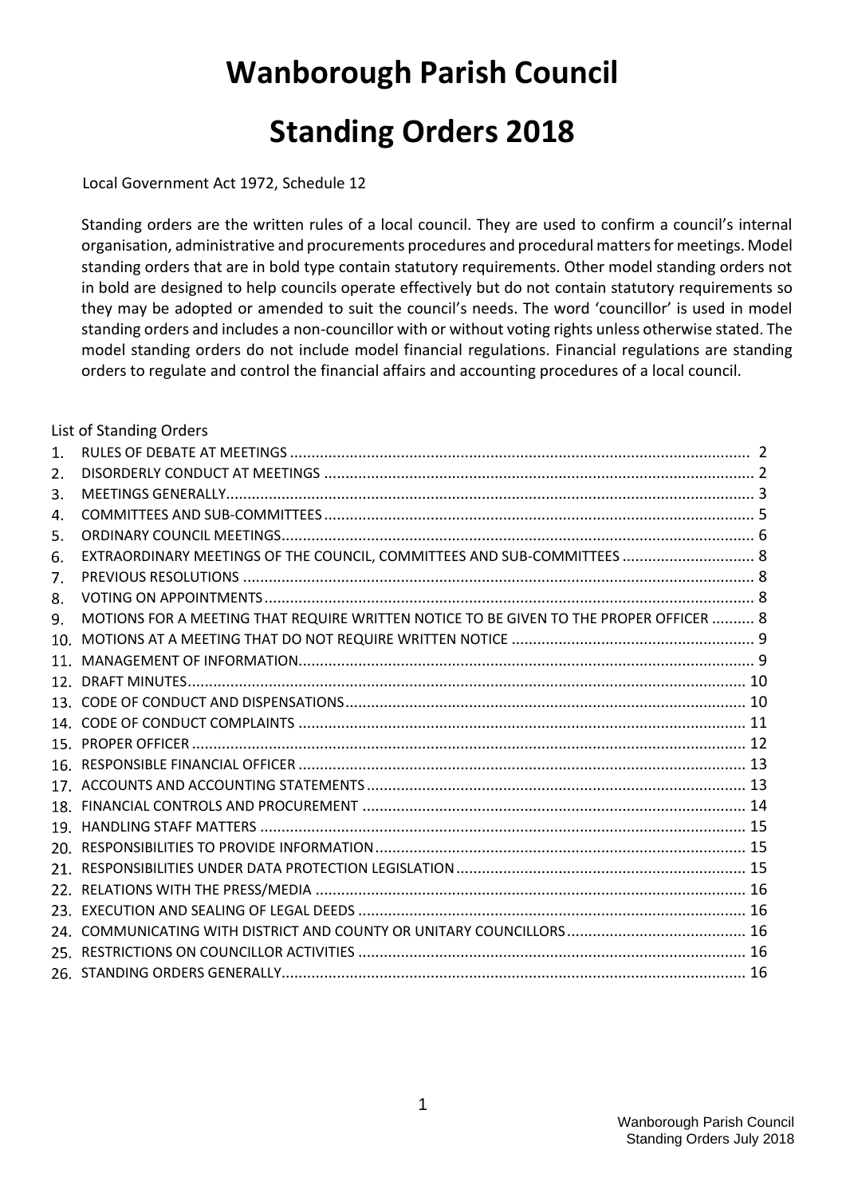# **Wanborough Parish Council Standing Orders 2018**

Local Government Act 1972, Schedule 12

Standing orders are the written rules of a local council. They are used to confirm a council's internal organisation, administrative and procurements procedures and procedural matters for meetings. Model standing orders that are in bold type contain statutory requirements. Other model standing orders not in bold are designed to help councils operate effectively but do not contain statutory requirements so they may be adopted or amended to suit the council's needs. The word 'councillor' is used in model standing orders and includes a non-councillor with or without voting rights unless otherwise stated. The model standing orders do not include model financial regulations. Financial regulations are standing orders to regulate and control the financial affairs and accounting procedures of a local council.

|                | List of Standing Orders                                                                |  |  |
|----------------|----------------------------------------------------------------------------------------|--|--|
| $\mathbf{1}$ . |                                                                                        |  |  |
| 2.             |                                                                                        |  |  |
| 3.             |                                                                                        |  |  |
| 4.             |                                                                                        |  |  |
| 5.             |                                                                                        |  |  |
| 6.             | EXTRAORDINARY MEETINGS OF THE COUNCIL, COMMITTEES AND SUB-COMMITTEES  8                |  |  |
| 7.             |                                                                                        |  |  |
| 8.             |                                                                                        |  |  |
| 9.             | MOTIONS FOR A MEETING THAT REQUIRE WRITTEN NOTICE TO BE GIVEN TO THE PROPER OFFICER  8 |  |  |
| 10.            |                                                                                        |  |  |
|                |                                                                                        |  |  |
|                |                                                                                        |  |  |
|                |                                                                                        |  |  |
|                |                                                                                        |  |  |
|                |                                                                                        |  |  |
|                |                                                                                        |  |  |
|                |                                                                                        |  |  |
|                |                                                                                        |  |  |
|                |                                                                                        |  |  |
|                |                                                                                        |  |  |
|                |                                                                                        |  |  |
|                |                                                                                        |  |  |
|                |                                                                                        |  |  |
|                |                                                                                        |  |  |
|                |                                                                                        |  |  |
|                |                                                                                        |  |  |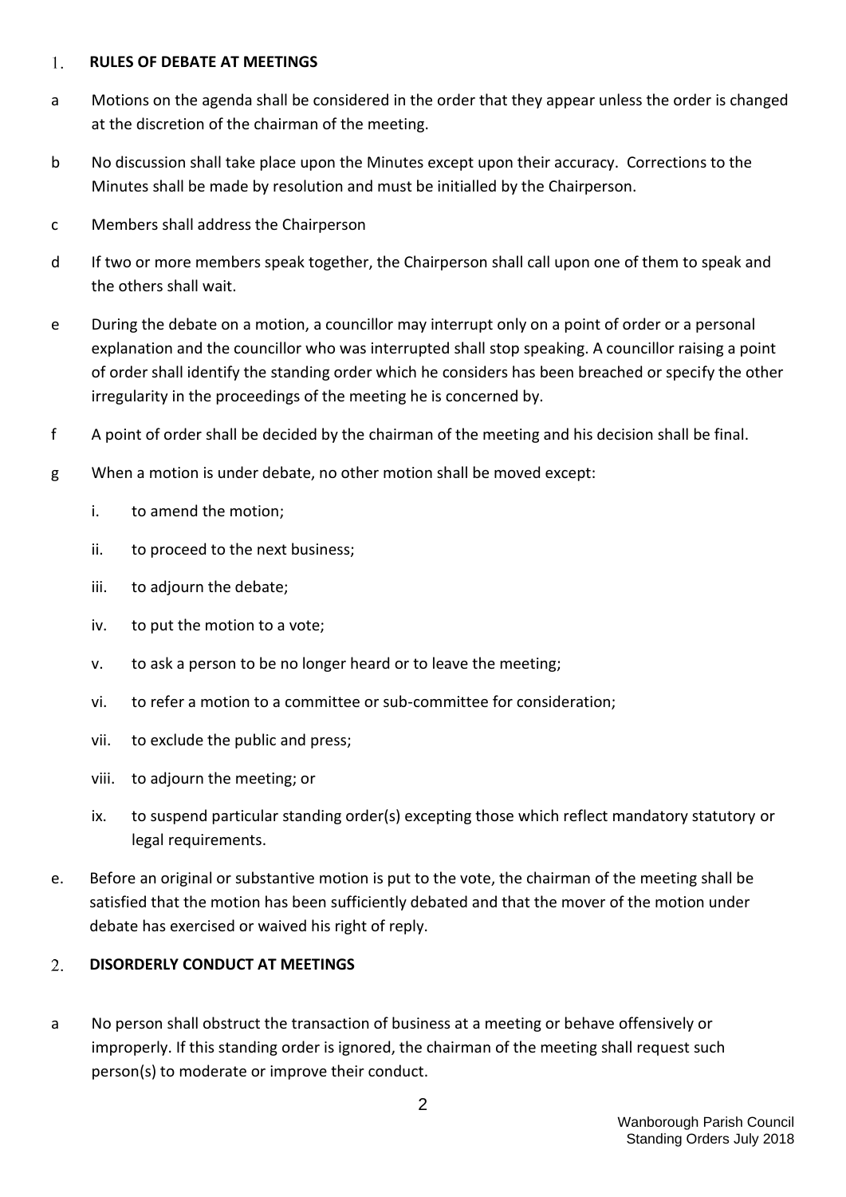#### <span id="page-1-0"></span>**RULES OF DEBATE AT MEETINGS** 1.

- a Motions on the agenda shall be considered in the order that they appear unless the order is changed at the discretion of the chairman of the meeting.
- b No discussion shall take place upon the Minutes except upon their accuracy. Corrections to the Minutes shall be made by resolution and must be initialled by the Chairperson.
- c Members shall address the Chairperson
- d If two or more members speak together, the Chairperson shall call upon one of them to speak and the others shall wait.
- e During the debate on a motion, a councillor may interrupt only on a point of order or a personal explanation and the councillor who was interrupted shall stop speaking. A councillor raising a point of order shall identify the standing order which he considers has been breached or specify the other irregularity in the proceedings of the meeting he is concerned by.
- f A point of order shall be decided by the chairman of the meeting and his decision shall be final.
- g When a motion is under debate, no other motion shall be moved except:
	- i. to amend the motion;
	- ii. to proceed to the next business;
	- iii. to adjourn the debate;
	- iv. to put the motion to a vote;
	- v. to ask a person to be no longer heard or to leave the meeting;
	- vi. to refer a motion to a committee or sub-committee for consideration;
	- vii. to exclude the public and press;
	- viii. to adjourn the meeting; or
	- ix. to suspend particular standing order(s) excepting those which reflect mandatory statutory or legal requirements.
- e. Before an original or substantive motion is put to the vote, the chairman of the meeting shall be satisfied that the motion has been sufficiently debated and that the mover of the motion under debate has exercised or waived his right of reply.

#### <span id="page-1-1"></span> $2.$ **DISORDERLY CONDUCT AT MEETINGS**

a No person shall obstruct the transaction of business at a meeting or behave offensively or improperly. If this standing order is ignored, the chairman of the meeting shall request such person(s) to moderate or improve their conduct.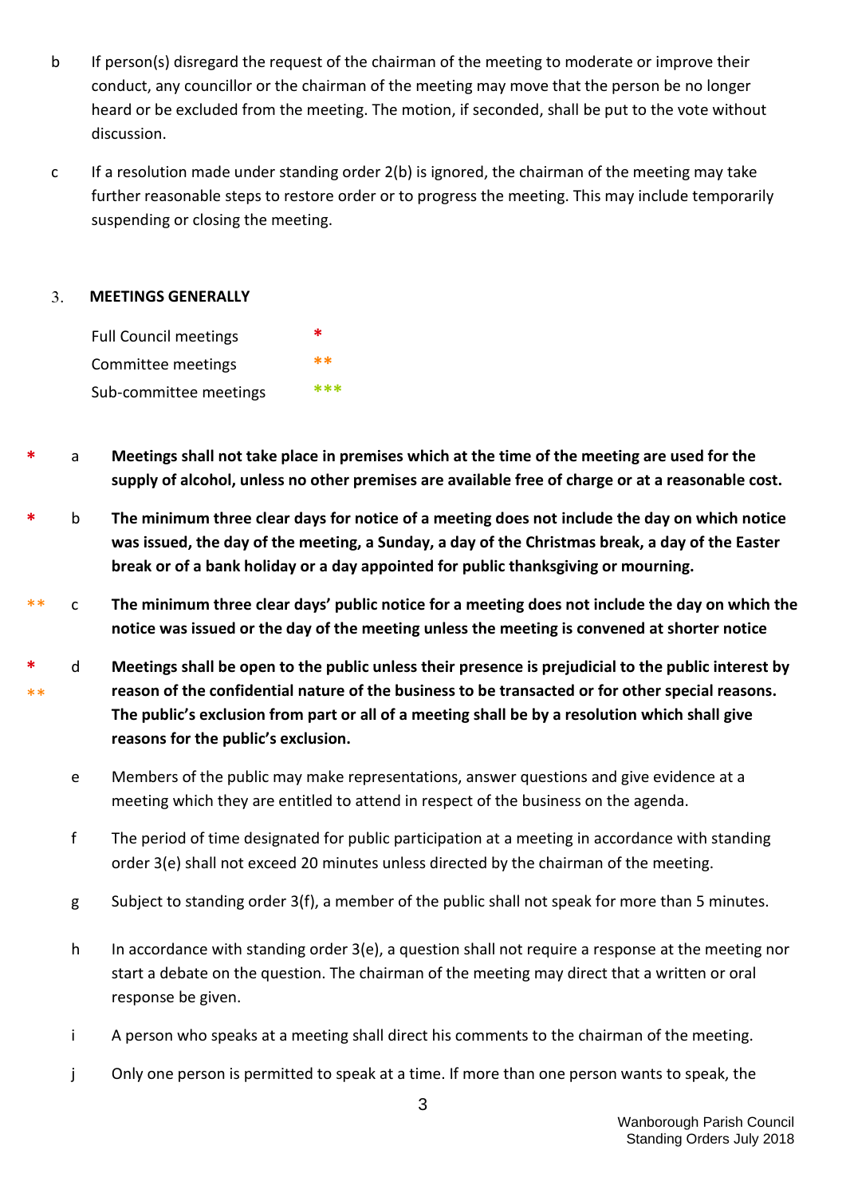- b If person(s) disregard the request of the chairman of the meeting to moderate or improve their conduct, any councillor or the chairman of the meeting may move that the person be no longer heard or be excluded from the meeting. The motion, if seconded, shall be put to the vote without discussion.
- c If a resolution made under standing order 2(b) is ignored, the chairman of the meeting may take further reasonable steps to restore order or to progress the meeting. This may include temporarily suspending or closing the meeting.

#### <span id="page-2-0"></span>**MEETINGS GENERALLY**  $3.$



- **\*** a **Meetings shall not take place in premises which at the time of the meeting are used for the supply of alcohol, unless no other premises are available free of charge or at a reasonable cost.**
- **\*** b **The minimum three clear days for notice of a meeting does not include the day on which notice was issued, the day of the meeting, a Sunday, a day of the Christmas break, a day of the Easter break or of a bank holiday or a day appointed for public thanksgiving or mourning.**
- \*\* c **The minimum three clear days' public notice for a meeting does not include the day on which the notice was issued or the day of the meeting unless the meeting is convened at shorter notice**
- **\*** \*\* d **Meetings shall be open to the public unless their presence is prejudicial to the public interest by reason of the confidential nature of the business to be transacted or for other special reasons. The public's exclusion from part or all of a meeting shall be by a resolution which shall give reasons for the public's exclusion.**
	- e Members of the public may make representations, answer questions and give evidence at a meeting which they are entitled to attend in respect of the business on the agenda.
	- f The period of time designated for public participation at a meeting in accordance with standing order 3(e) shall not exceed 20 minutes unless directed by the chairman of the meeting.
	- g Subject to standing order 3(f), a member of the public shall not speak for more than 5 minutes.
	- h In accordance with standing order 3(e), a question shall not require a response at the meeting nor start a debate on the question. The chairman of the meeting may direct that a written or oral response be given.
	- i A person who speaks at a meeting shall direct his comments to the chairman of the meeting.
	- j Only one person is permitted to speak at a time. If more than one person wants to speak, the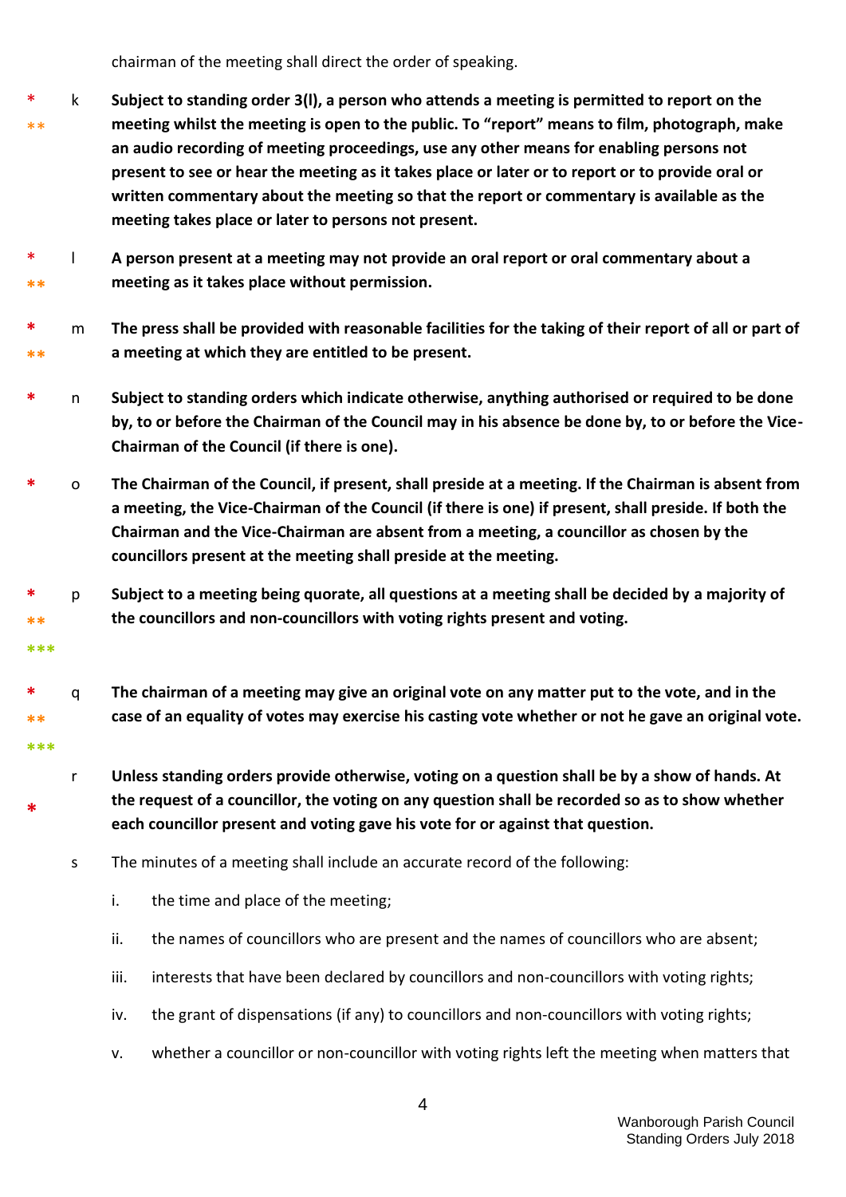chairman of the meeting shall direct the order of speaking.

- \* \*\* k **Subject to standing order 3(l), a person who attends a meeting is permitted to report on the meeting whilst the meeting is open to the public. To "report" means to film, photograph, make an audio recording of meeting proceedings, use any other means for enabling persons not present to see or hear the meeting as it takes place or later or to report or to provide oral or written commentary about the meeting so that the report or commentary is available as the meeting takes place or later to persons not present.**
- \* **\*\*** l **A person present at a meeting may not provide an oral report or oral commentary about a meeting as it takes place without permission.**
- **\* \*\*** m **The press shall be provided with reasonable facilities for the taking of their report of all or part of a meeting at which they are entitled to be present.**
- **\*** n **Subject to standing orders which indicate otherwise, anything authorised or required to be done by, to or before the Chairman of the Council may in his absence be done by, to or before the Vice-Chairman of the Council (if there is one).**
- **\*** o **The Chairman of the Council, if present, shall preside at a meeting. If the Chairman is absent from a meeting, the Vice-Chairman of the Council (if there is one) if present, shall preside. If both the Chairman and the Vice-Chairman are absent from a meeting, a councillor as chosen by the councillors present at the meeting shall preside at the meeting.**
- **\* \*\*** p **Subject to a meeting being quorate, all questions at a meeting shall be decided by a majority of the councillors and non-councillors with voting rights present and voting.**
- **\* \*\*** q **The chairman of a meeting may give an original vote on any matter put to the vote, and in the case of an equality of votes may exercise his casting vote whether or not he gave an original vote.**
	- r **Unless standing orders provide otherwise, voting on a question shall be by a show of hands. At the request of a councillor, the voting on any question shall be recorded so as to show whether each councillor present and voting gave his vote for or against that question.**
	- s The minutes of a meeting shall include an accurate record of the following:
		- i. the time and place of the meeting;

**\*\*\***

**\*\*\***

**\***

- ii. the names of councillors who are present and the names of councillors who are absent;
- iii. interests that have been declared by councillors and non-councillors with voting rights;
- iv. the grant of dispensations (if any) to councillors and non-councillors with voting rights;
- v. whether a councillor or non-councillor with voting rights left the meeting when matters that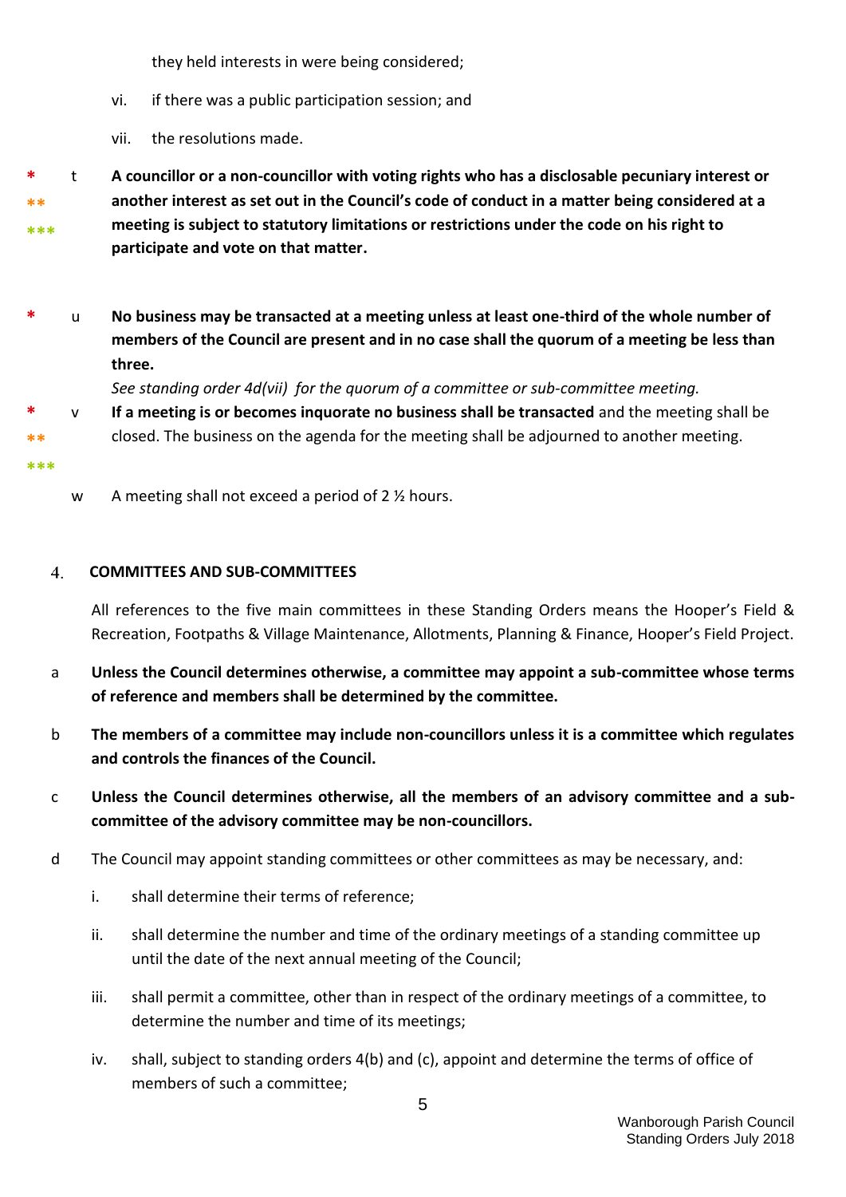they held interests in were being considered;

- vi. if there was a public participation session; and
- vii. the resolutions made.
- **\* \*\* \*\*\*** t **A councillor or a non-councillor with voting rights who has a disclosable pecuniary interest or another interest as set out in the Council's code of conduct in a matter being considered at a meeting is subject to statutory limitations or restrictions under the code on his right to participate and vote on that matter.**
- **\*** u **No business may be transacted at a meeting unless at least one-third of the whole number of members of the Council are present and in no case shall the quorum of a meeting be less than three.**

*See standing order 4d(vii) for the quorum of a committee or sub-committee meeting.* 

- **\*\*** v **If a meeting is or becomes inquorate no business shall be transacted** and the meeting shall be closed. The business on the agenda for the meeting shall be adjourned to another meeting.
- **\*\*\***

**\***

w A meeting shall not exceed a period of 2 % hours.

#### <span id="page-4-0"></span>**COMMITTEES AND SUB-COMMITTEES**  $\overline{4}$ .

All references to the five main committees in these Standing Orders means the Hooper's Field & Recreation, Footpaths & Village Maintenance, Allotments, Planning & Finance, Hooper's Field Project.

- a **Unless the Council determines otherwise, a committee may appoint a sub-committee whose terms of reference and members shall be determined by the committee.**
- b **The members of a committee may include non-councillors unless it is a committee which regulates and controls the finances of the Council.**
- c **Unless the Council determines otherwise, all the members of an advisory committee and a subcommittee of the advisory committee may be non-councillors.**
- d The Council may appoint standing committees or other committees as may be necessary, and:
	- i. shall determine their terms of reference;
	- ii. shall determine the number and time of the ordinary meetings of a standing committee up until the date of the next annual meeting of the Council;
	- iii. shall permit a committee, other than in respect of the ordinary meetings of a committee, to determine the number and time of its meetings;
	- iv. shall, subject to standing orders 4(b) and (c), appoint and determine the terms of office of members of such a committee;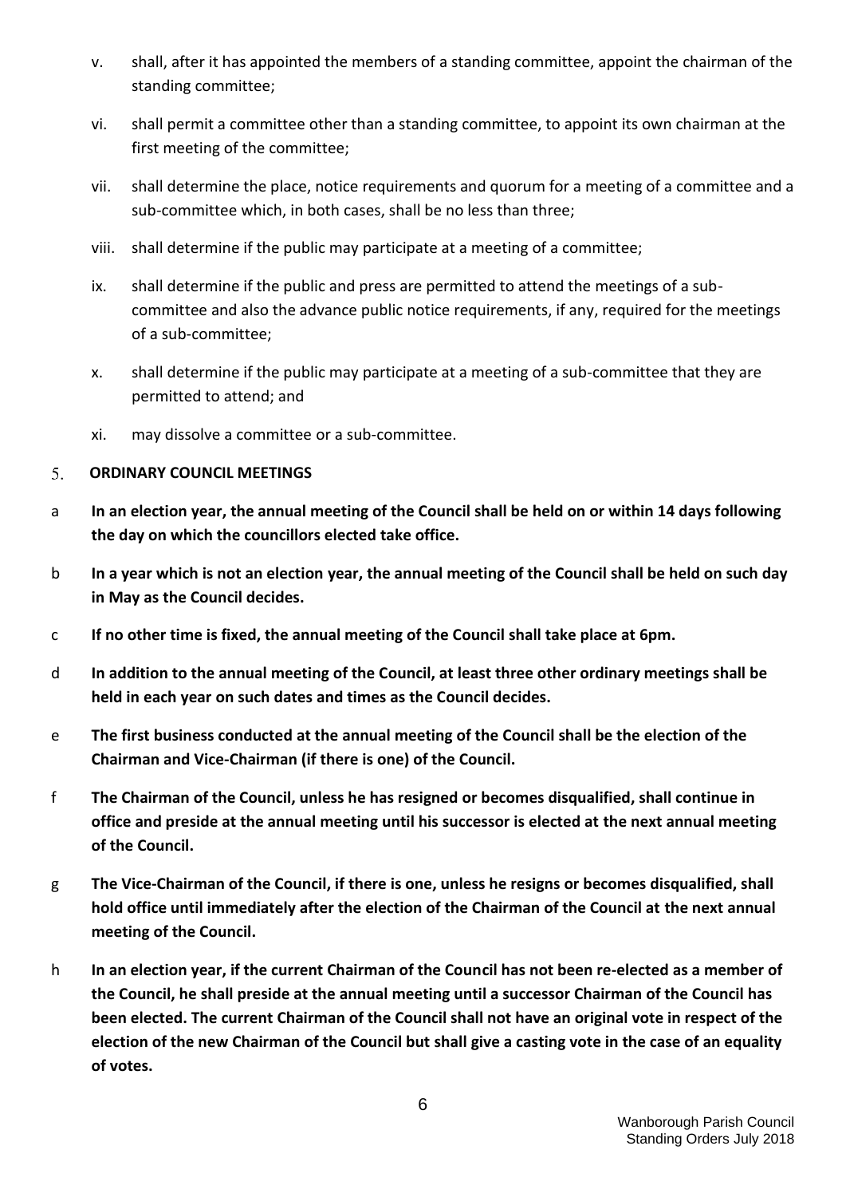- v. shall, after it has appointed the members of a standing committee, appoint the chairman of the standing committee;
- vi. shall permit a committee other than a standing committee, to appoint its own chairman at the first meeting of the committee;
- vii. shall determine the place, notice requirements and quorum for a meeting of a committee and a sub-committee which, in both cases, shall be no less than three;
- viii. shall determine if the public may participate at a meeting of a committee;
- ix. shall determine if the public and press are permitted to attend the meetings of a subcommittee and also the advance public notice requirements, if any, required for the meetings of a sub-committee;
- x. shall determine if the public may participate at a meeting of a sub-committee that they are permitted to attend; and
- xi. may dissolve a committee or a sub-committee.

#### <span id="page-5-0"></span>5. **ORDINARY COUNCIL MEETINGS**

- a **In an election year, the annual meeting of the Council shall be held on or within 14 days following the day on which the councillors elected take office.**
- b **In a year which is not an election year, the annual meeting of the Council shall be held on such day in May as the Council decides.**
- c **If no other time is fixed, the annual meeting of the Council shall take place at 6pm.**
- d **In addition to the annual meeting of the Council, at least three other ordinary meetings shall be held in each year on such dates and times as the Council decides.**
- e **The first business conducted at the annual meeting of the Council shall be the election of the Chairman and Vice-Chairman (if there is one) of the Council.**
- f **The Chairman of the Council, unless he has resigned or becomes disqualified, shall continue in office and preside at the annual meeting until his successor is elected at the next annual meeting of the Council.**
- g **The Vice-Chairman of the Council, if there is one, unless he resigns or becomes disqualified, shall hold office until immediately after the election of the Chairman of the Council at the next annual meeting of the Council.**
- h **In an election year, if the current Chairman of the Council has not been re-elected as a member of the Council, he shall preside at the annual meeting until a successor Chairman of the Council has been elected. The current Chairman of the Council shall not have an original vote in respect of the election of the new Chairman of the Council but shall give a casting vote in the case of an equality of votes.**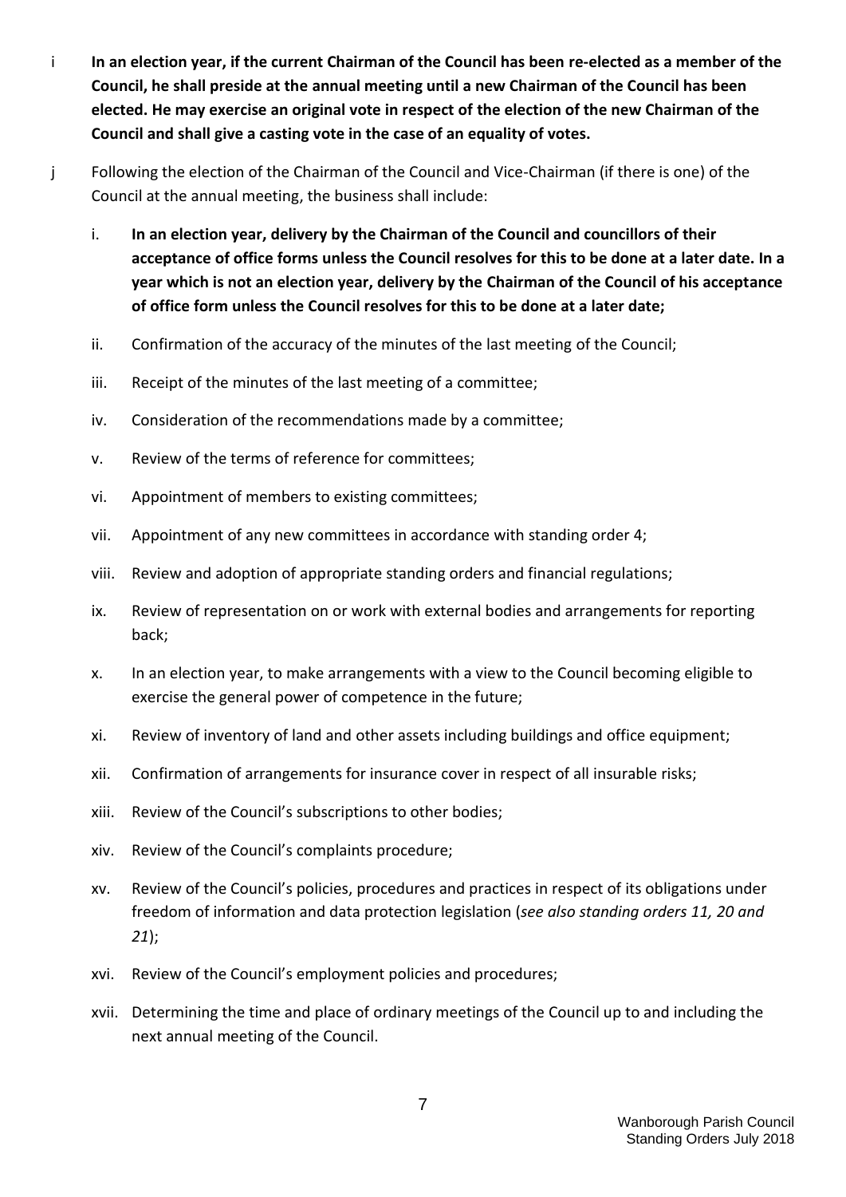- i **In an election year, if the current Chairman of the Council has been re-elected as a member of the Council, he shall preside at the annual meeting until a new Chairman of the Council has been elected. He may exercise an original vote in respect of the election of the new Chairman of the Council and shall give a casting vote in the case of an equality of votes.**
- j Following the election of the Chairman of the Council and Vice-Chairman (if there is one) of the Council at the annual meeting, the business shall include:
	- i. **In an election year, delivery by the Chairman of the Council and councillors of their acceptance of office forms unless the Council resolves for this to be done at a later date. In a year which is not an election year, delivery by the Chairman of the Council of his acceptance of office form unless the Council resolves for this to be done at a later date;**
	- ii. Confirmation of the accuracy of the minutes of the last meeting of the Council;
	- iii. Receipt of the minutes of the last meeting of a committee;
	- iv. Consideration of the recommendations made by a committee;
	- v. Review of the terms of reference for committees;
	- vi. Appointment of members to existing committees;
	- vii. Appointment of any new committees in accordance with standing order 4;
	- viii. Review and adoption of appropriate standing orders and financial regulations;
	- ix. Review of representation on or work with external bodies and arrangements for reporting back;
	- x. In an election year, to make arrangements with a view to the Council becoming eligible to exercise the general power of competence in the future;
	- xi. Review of inventory of land and other assets including buildings and office equipment;
	- xii. Confirmation of arrangements for insurance cover in respect of all insurable risks;
	- xiii. Review of the Council's subscriptions to other bodies;
	- xiv. Review of the Council's complaints procedure;
	- xv. Review of the Council's policies, procedures and practices in respect of its obligations under freedom of information and data protection legislation (*see also standing orders 11, 20 and 21*);
	- xvi. Review of the Council's employment policies and procedures;
	- xvii. Determining the time and place of ordinary meetings of the Council up to and including the next annual meeting of the Council.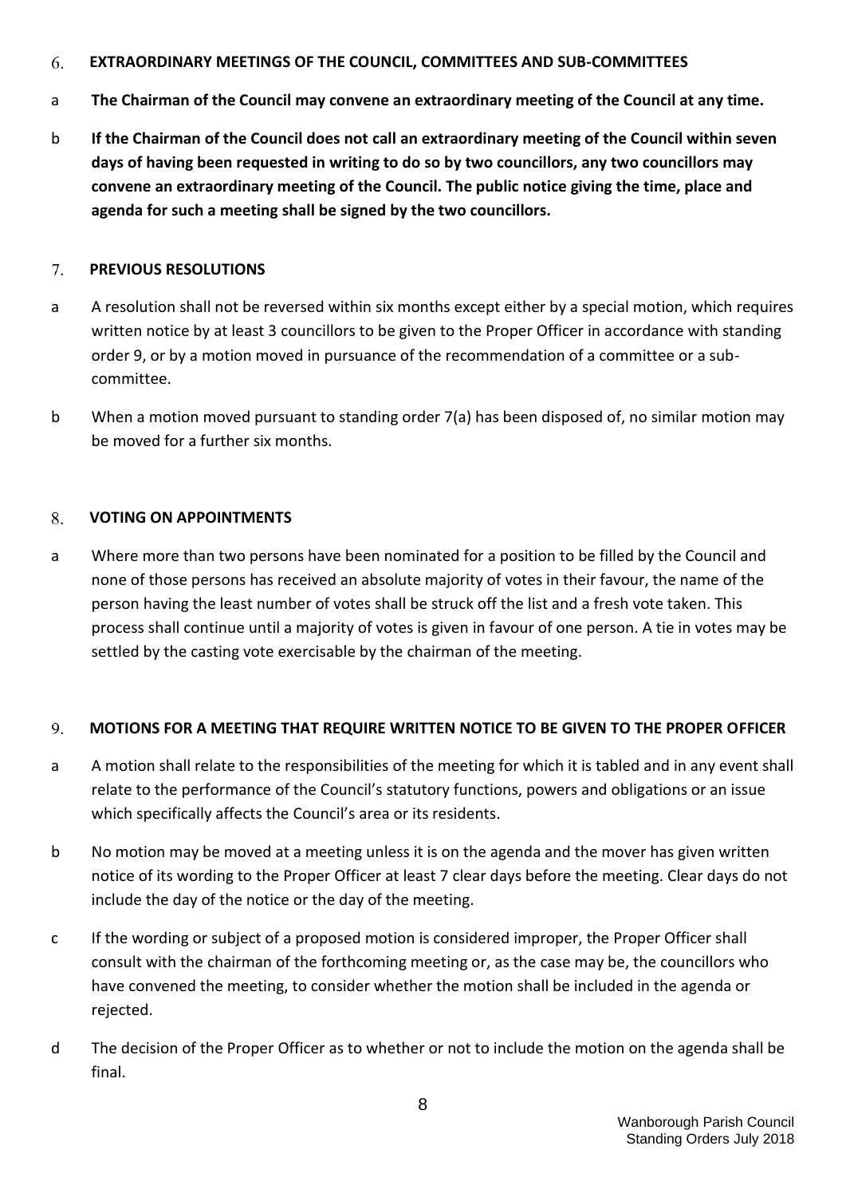#### <span id="page-7-0"></span>**EXTRAORDINARY MEETINGS OF THE COUNCIL, COMMITTEES AND SUB-COMMITTEES** 6.

- a **The Chairman of the Council may convene an extraordinary meeting of the Council at any time.**
- b **If the Chairman of the Council does not call an extraordinary meeting of the Council within seven days of having been requested in writing to do so by two councillors, any two councillors may convene an extraordinary meeting of the Council. The public notice giving the time, place and agenda for such a meeting shall be signed by the two councillors.**

#### <span id="page-7-1"></span>7. **PREVIOUS RESOLUTIONS**

- a A resolution shall not be reversed within six months except either by a special motion, which requires written notice by at least 3 councillors to be given to the Proper Officer in accordance with standing order 9, or by a motion moved in pursuance of the recommendation of a committee or a subcommittee.
- b When a motion moved pursuant to standing order 7(a) has been disposed of, no similar motion may be moved for a further six months.

# <span id="page-7-2"></span>8. **VOTING ON APPOINTMENTS**

a Where more than two persons have been nominated for a position to be filled by the Council and none of those persons has received an absolute majority of votes in their favour, the name of the person having the least number of votes shall be struck off the list and a fresh vote taken. This process shall continue until a majority of votes is given in favour of one person. A tie in votes may be settled by the casting vote exercisable by the chairman of the meeting.

# <span id="page-7-3"></span>9. **MOTIONS FOR A MEETING THAT REQUIRE WRITTEN NOTICE TO BE GIVEN TO THE PROPER OFFICER**

- a A motion shall relate to the responsibilities of the meeting for which it is tabled and in any event shall relate to the performance of the Council's statutory functions, powers and obligations or an issue which specifically affects the Council's area or its residents.
- b No motion may be moved at a meeting unless it is on the agenda and the mover has given written notice of its wording to the Proper Officer at least 7 clear days before the meeting. Clear days do not include the day of the notice or the day of the meeting.
- c If the wording or subject of a proposed motion is considered improper, the Proper Officer shall consult with the chairman of the forthcoming meeting or, as the case may be, the councillors who have convened the meeting, to consider whether the motion shall be included in the agenda or rejected.
- d The decision of the Proper Officer as to whether or not to include the motion on the agenda shall be final.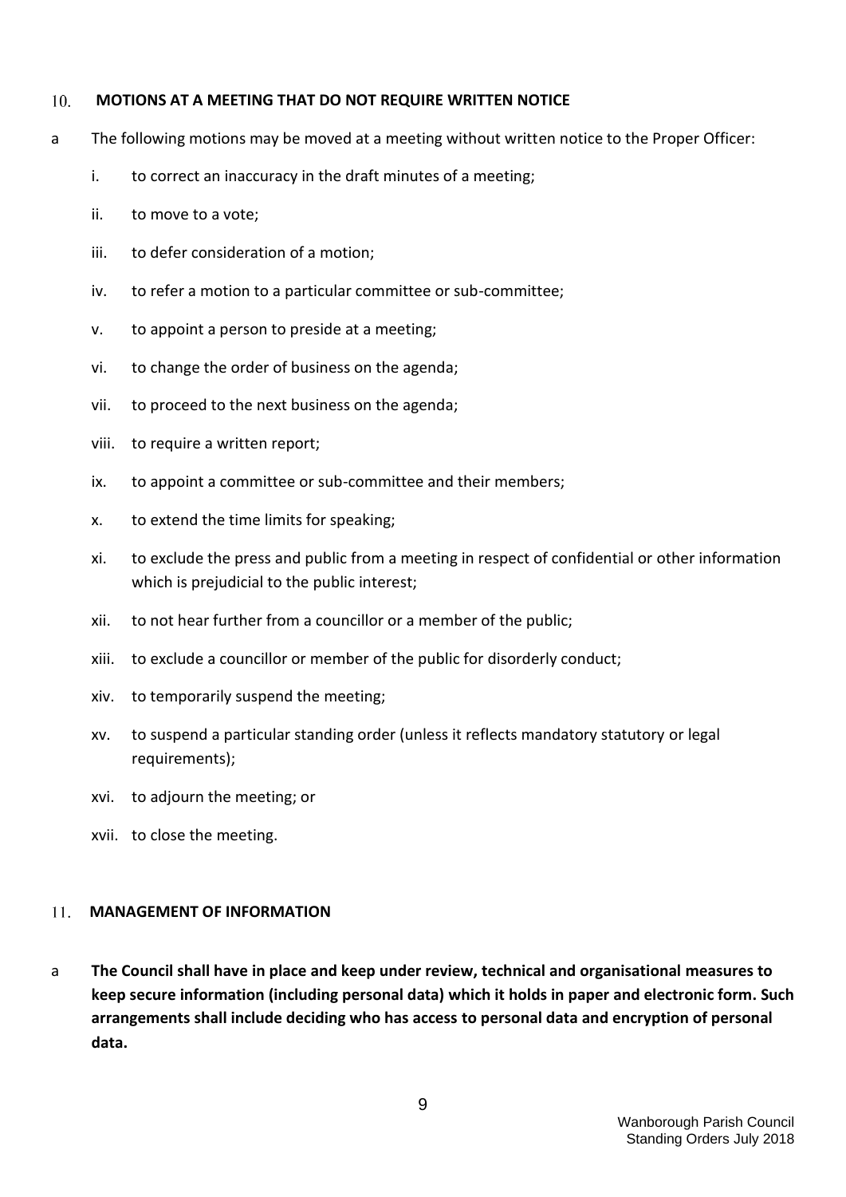#### <span id="page-8-0"></span> $10<sub>1</sub>$ **MOTIONS AT A MEETING THAT DO NOT REQUIRE WRITTEN NOTICE**

- a The following motions may be moved at a meeting without written notice to the Proper Officer:
	- i. to correct an inaccuracy in the draft minutes of a meeting;
	- ii. to move to a vote;
	- iii. to defer consideration of a motion;
	- iv. to refer a motion to a particular committee or sub-committee;
	- v. to appoint a person to preside at a meeting;
	- vi. to change the order of business on the agenda;
	- vii. to proceed to the next business on the agenda;
	- viii. to require a written report;
	- ix. to appoint a committee or sub-committee and their members;
	- x. to extend the time limits for speaking;
	- xi. to exclude the press and public from a meeting in respect of confidential or other information which is prejudicial to the public interest;
	- xii. to not hear further from a councillor or a member of the public;
	- xiii. to exclude a councillor or member of the public for disorderly conduct;
	- xiv. to temporarily suspend the meeting;
	- xv. to suspend a particular standing order (unless it reflects mandatory statutory or legal requirements);
	- xvi. to adjourn the meeting; or
	- xvii. to close the meeting.

#### <span id="page-8-1"></span>**MANAGEMENT OF INFORMATION**   $11.$

a **The Council shall have in place and keep under review, technical and organisational measures to keep secure information (including personal data) which it holds in paper and electronic form. Such arrangements shall include deciding who has access to personal data and encryption of personal data.**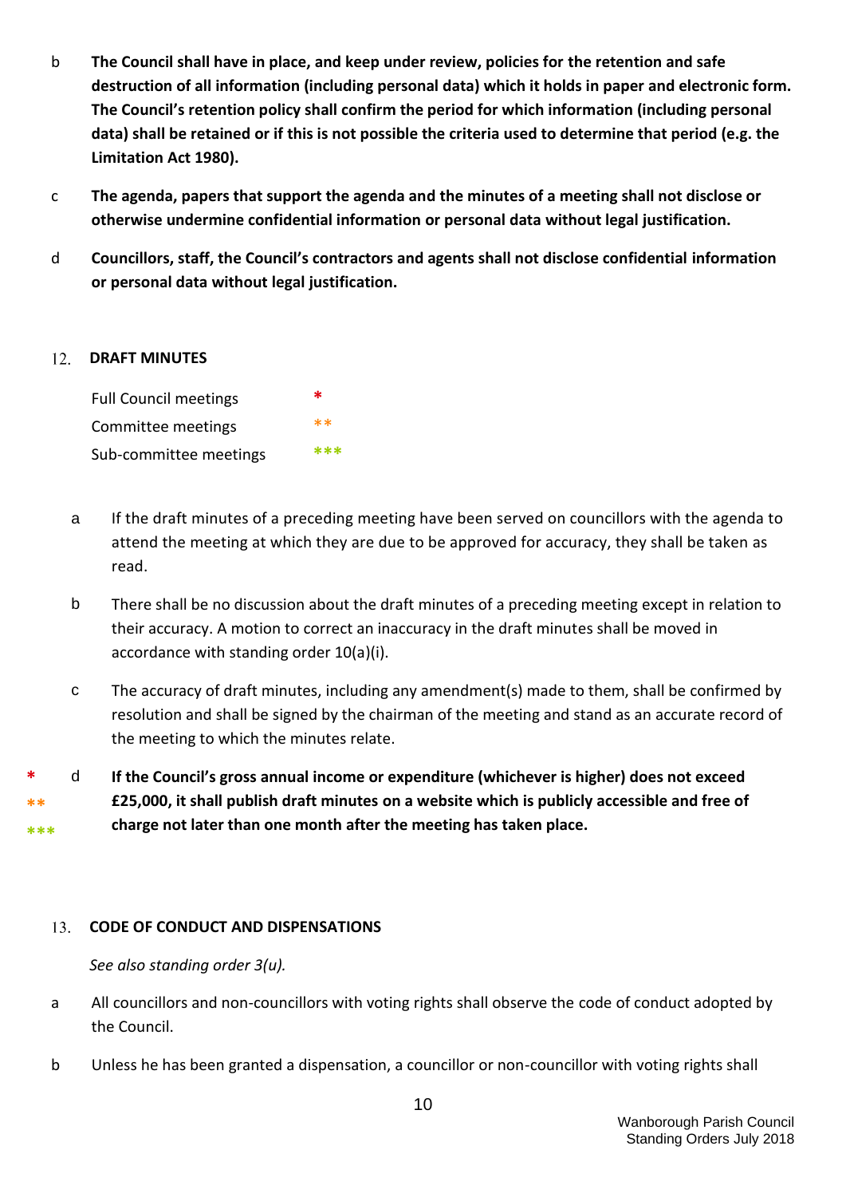- b **The Council shall have in place, and keep under review, policies for the retention and safe destruction of all information (including personal data) which it holds in paper and electronic form. The Council's retention policy shall confirm the period for which information (including personal data) shall be retained or if this is not possible the criteria used to determine that period (e.g. the Limitation Act 1980).**
- c **The agenda, papers that support the agenda and the minutes of a meeting shall not disclose or otherwise undermine confidential information or personal data without legal justification.**
- d **Councillors, staff, the Council's contractors and agents shall not disclose confidential information or personal data without legal justification.**

#### <span id="page-9-0"></span>12. **DRAFT MINUTES**

Full Council meetings **\*** Committee meetings \*\* Sub-committee meetings **\*\*\***

- a If the draft minutes of a preceding meeting have been served on councillors with the agenda to attend the meeting at which they are due to be approved for accuracy, they shall be taken as read.
- b There shall be no discussion about the draft minutes of a preceding meeting except in relation to their accuracy. A motion to correct an inaccuracy in the draft minutes shall be moved in accordance with standing order 10(a)(i).
- c The accuracy of draft minutes, including any amendment(s) made to them, shall be confirmed by resolution and shall be signed by the chairman of the meeting and stand as an accurate record of the meeting to which the minutes relate.

**\* \*\* \*\*\*** d **If the Council's gross annual income or expenditure (whichever is higher) does not exceed £25,000, it shall publish draft minutes on a website which is publicly accessible and free of charge not later than one month after the meeting has taken place.**

#### <span id="page-9-1"></span>**CODE OF CONDUCT AND DISPENSATIONS**  $13.$

*See also standing order 3(u).*

- a All councillors and non-councillors with voting rights shall observe the code of conduct adopted by the Council.
- b Unless he has been granted a dispensation, a councillor or non-councillor with voting rights shall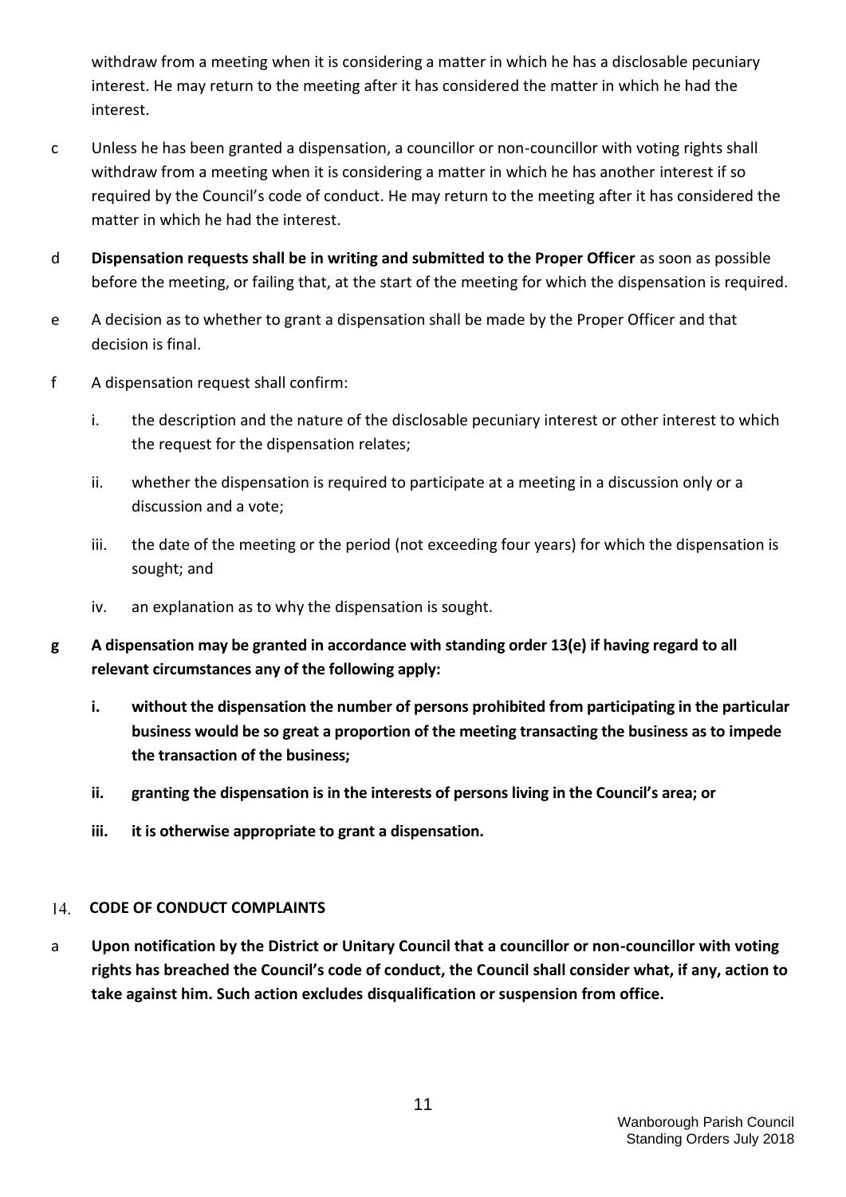withdraw from a meeting when it is considering a matter in which he has a disclosable pecuniary interest. He may return to the meeting after it has considered the matter in which he had the interest.

- c Unless he has been granted a dispensation, a councillor or non-councillor with voting rights shall withdraw from a meeting when it is considering a matter in which he has another interest if so required by the Council's code of conduct. He may return to the meeting after it has considered the matter in which he had the interest.
- d **Dispensation requests shall be in writing and submitted to the Proper Officer** as soon as possible before the meeting, or failing that, at the start of the meeting for which the dispensation is required.
- e A decision as to whether to grant a dispensation shall be made by the Proper Officer and that decision is final.
- f A dispensation request shall confirm:
	- i. the description and the nature of the disclosable pecuniary interest or other interest to which the request for the dispensation relates;
	- ii. whether the dispensation is required to participate at a meeting in a discussion only or a discussion and a vote;
	- iii. the date of the meeting or the period (not exceeding four years) for which the dispensation is sought; and
	- iv. an explanation as to why the dispensation is sought.
- **g A dispensation may be granted in accordance with standing order 13(e) if having regard to all relevant circumstances any of the following apply:**
	- **i. without the dispensation the number of persons prohibited from participating in the particular business would be so great a proportion of the meeting transacting the business as to impede the transaction of the business;**
	- **ii. granting the dispensation is in the interests of persons living in the Council's area; or**
	- **iii. it is otherwise appropriate to grant a dispensation.**

#### <span id="page-10-0"></span>**CODE OF CONDUCT COMPLAINTS**  14.

a **Upon notification by the District or Unitary Council that a councillor or non-councillor with voting rights has breached the Council's code of conduct, the Council shall consider what, if any, action to take against him. Such action excludes disqualification or suspension from office.**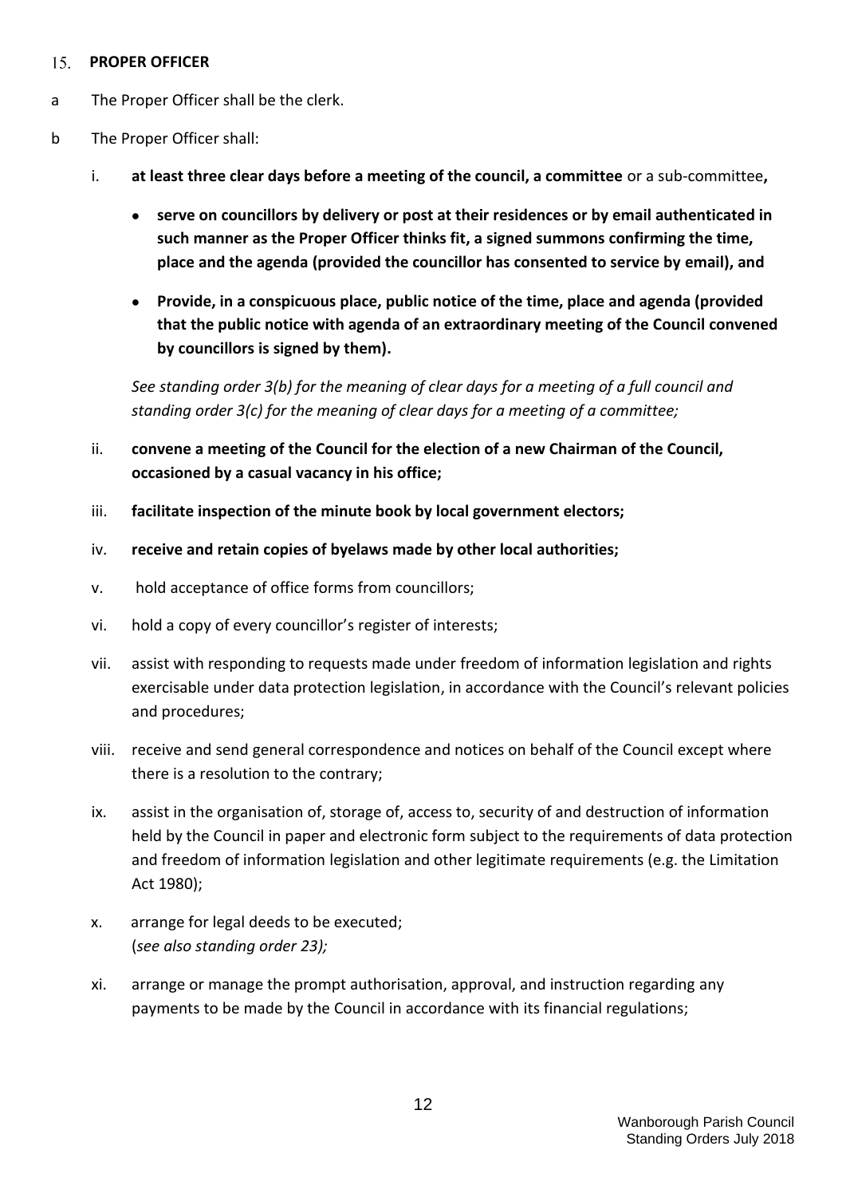#### <span id="page-11-0"></span>**PROPER OFFICER**   $15.$

- a The Proper Officer shall be the clerk.
- b The Proper Officer shall:
	- i. **at least three clear days before a meeting of the council, a committee** or a sub-committee**,**
		- **serve on councillors by delivery or post at their residences or by email authenticated in such manner as the Proper Officer thinks fit, a signed summons confirming the time, place and the agenda (provided the councillor has consented to service by email), and**
		- **Provide, in a conspicuous place, public notice of the time, place and agenda (provided that the public notice with agenda of an extraordinary meeting of the Council convened by councillors is signed by them).**

*See standing order 3(b) for the meaning of clear days for a meeting of a full council and standing order 3(c) for the meaning of clear days for a meeting of a committee;*

- ii. **convene a meeting of the Council for the election of a new Chairman of the Council, occasioned by a casual vacancy in his office;**
- iii. **facilitate inspection of the minute book by local government electors;**
- iv. **receive and retain copies of byelaws made by other local authorities;**
- v. hold acceptance of office forms from councillors;
- vi. hold a copy of every councillor's register of interests;
- vii. assist with responding to requests made under freedom of information legislation and rights exercisable under data protection legislation, in accordance with the Council's relevant policies and procedures;
- viii. receive and send general correspondence and notices on behalf of the Council except where there is a resolution to the contrary;
- ix. assist in the organisation of, storage of, access to, security of and destruction of information held by the Council in paper and electronic form subject to the requirements of data protection and freedom of information legislation and other legitimate requirements (e.g. the Limitation Act 1980);
- x. arrange for legal deeds to be executed; (*see also standing order 23);*
- xi. arrange or manage the prompt authorisation, approval, and instruction regarding any payments to be made by the Council in accordance with its financial regulations;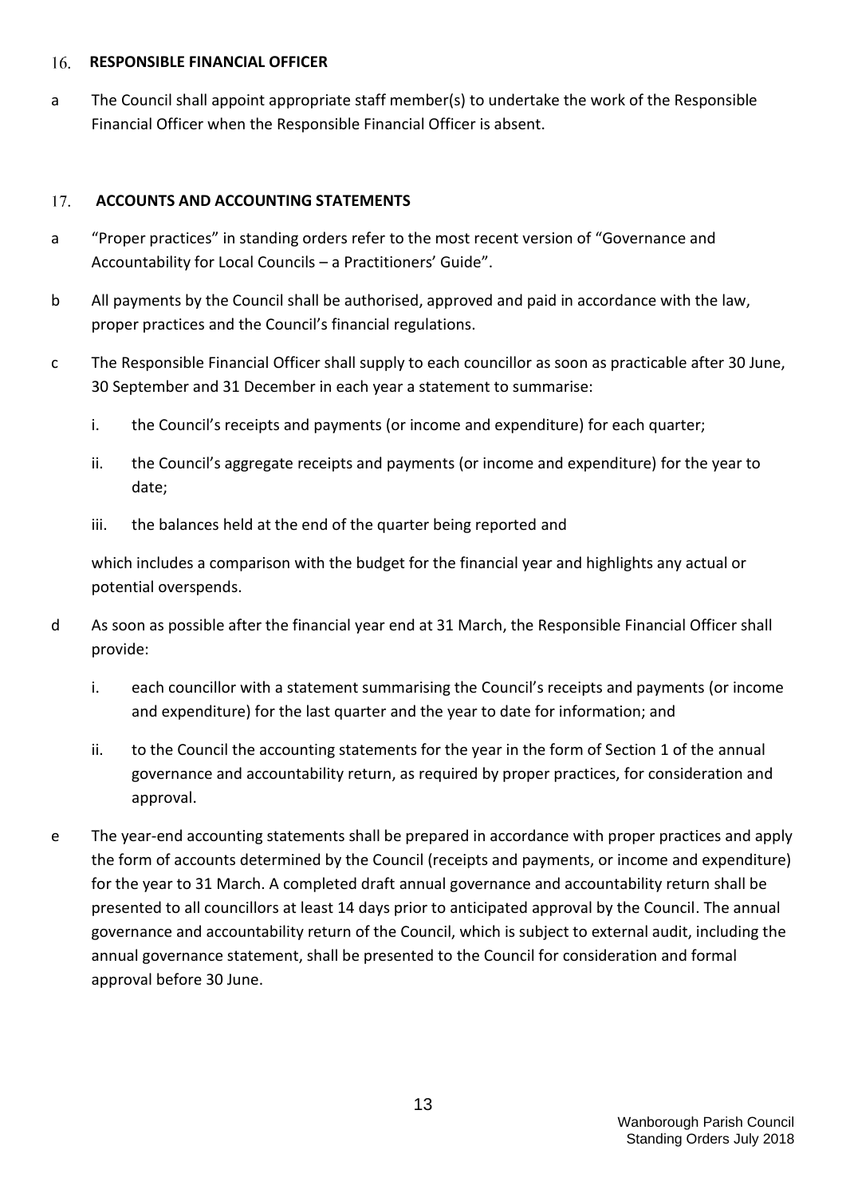#### <span id="page-12-0"></span>**RESPONSIBLE FINANCIAL OFFICER**  16.

a The Council shall appoint appropriate staff member(s) to undertake the work of the Responsible Financial Officer when the Responsible Financial Officer is absent.

# <span id="page-12-1"></span>17. **ACCOUNTS AND ACCOUNTING STATEMENTS**

- a "Proper practices" in standing orders refer to the most recent version of "Governance and Accountability for Local Councils – a Practitioners' Guide".
- b All payments by the Council shall be authorised, approved and paid in accordance with the law, proper practices and the Council's financial regulations.
- c The Responsible Financial Officer shall supply to each councillor as soon as practicable after 30 June, 30 September and 31 December in each year a statement to summarise:
	- i. the Council's receipts and payments (or income and expenditure) for each quarter;
	- ii. the Council's aggregate receipts and payments (or income and expenditure) for the year to date;
	- iii. the balances held at the end of the quarter being reported and

which includes a comparison with the budget for the financial year and highlights any actual or potential overspends.

- d As soon as possible after the financial year end at 31 March, the Responsible Financial Officer shall provide:
	- i. each councillor with a statement summarising the Council's receipts and payments (or income and expenditure) for the last quarter and the year to date for information; and
	- ii. to the Council the accounting statements for the year in the form of Section 1 of the annual governance and accountability return, as required by proper practices, for consideration and approval.
- e The year-end accounting statements shall be prepared in accordance with proper practices and apply the form of accounts determined by the Council (receipts and payments, or income and expenditure) for the year to 31 March. A completed draft annual governance and accountability return shall be presented to all councillors at least 14 days prior to anticipated approval by the Council. The annual governance and accountability return of the Council, which is subject to external audit, including the annual governance statement, shall be presented to the Council for consideration and formal approval before 30 June.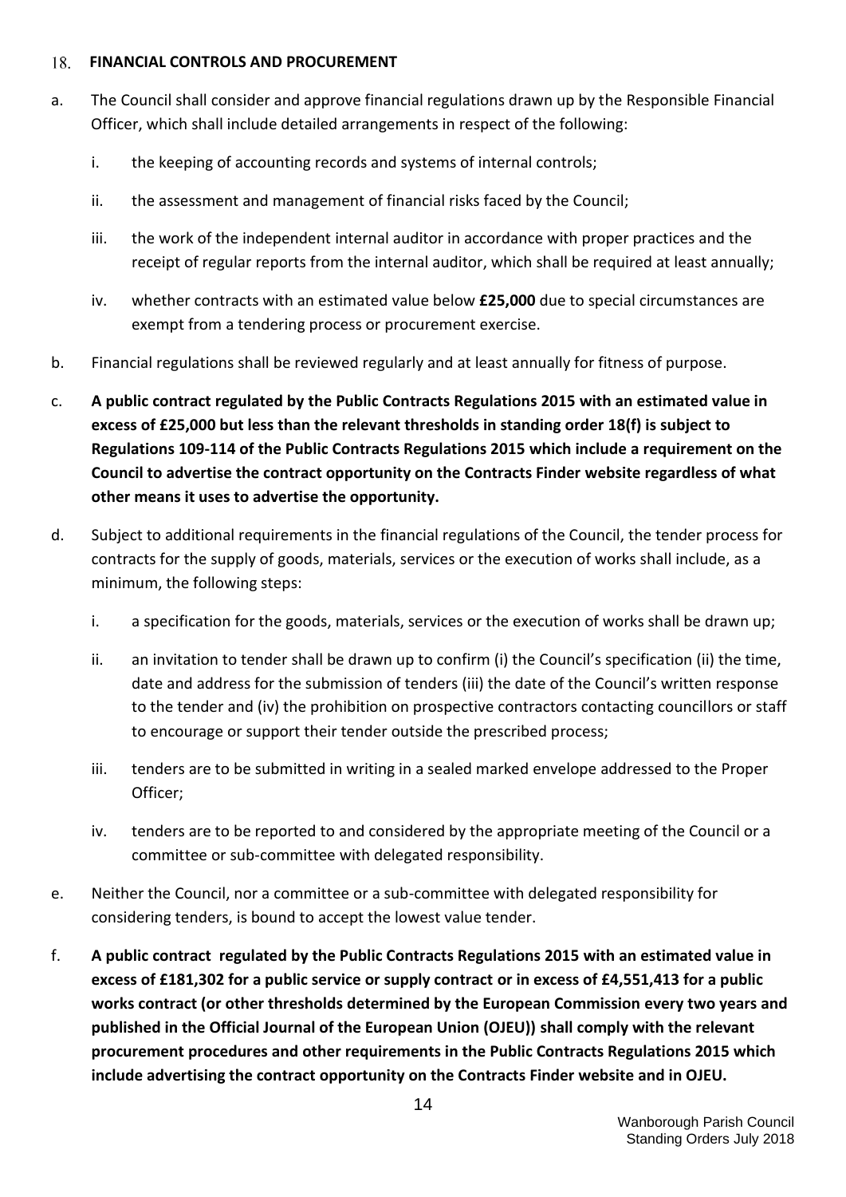#### <span id="page-13-0"></span>**FINANCIAL CONTROLS AND PROCUREMENT** 18.

- a. The Council shall consider and approve financial regulations drawn up by the Responsible Financial Officer, which shall include detailed arrangements in respect of the following:
	- i. the keeping of accounting records and systems of internal controls;
	- ii. the assessment and management of financial risks faced by the Council;
	- iii. the work of the independent internal auditor in accordance with proper practices and the receipt of regular reports from the internal auditor, which shall be required at least annually;
	- iv. whether contracts with an estimated value below **£25,000** due to special circumstances are exempt from a tendering process or procurement exercise.
- b. Financial regulations shall be reviewed regularly and at least annually for fitness of purpose.
- c. **A public contract regulated by the Public Contracts Regulations 2015 with an estimated value in excess of £25,000 but less than the relevant thresholds in standing order 18(f) is subject to Regulations 109-114 of the Public Contracts Regulations 2015 which include a requirement on the Council to advertise the contract opportunity on the Contracts Finder website regardless of what other means it uses to advertise the opportunity.**
- d. Subject to additional requirements in the financial regulations of the Council, the tender process for contracts for the supply of goods, materials, services or the execution of works shall include, as a minimum, the following steps:
	- i. a specification for the goods, materials, services or the execution of works shall be drawn up;
	- ii. an invitation to tender shall be drawn up to confirm (i) the Council's specification (ii) the time, date and address for the submission of tenders (iii) the date of the Council's written response to the tender and (iv) the prohibition on prospective contractors contacting councillors or staff to encourage or support their tender outside the prescribed process;
	- iii. tenders are to be submitted in writing in a sealed marked envelope addressed to the Proper Officer;
	- iv. tenders are to be reported to and considered by the appropriate meeting of the Council or a committee or sub-committee with delegated responsibility.
- e. Neither the Council, nor a committee or a sub-committee with delegated responsibility for considering tenders, is bound to accept the lowest value tender.
- f. **A public contract regulated by the Public Contracts Regulations 2015 with an estimated value in excess of £181,302 for a public service or supply contract or in excess of £4,551,413 for a public works contract (or other thresholds determined by the European Commission every two years and published in the Official Journal of the European Union (OJEU)) shall comply with the relevant procurement procedures and other requirements in the Public Contracts Regulations 2015 which include advertising the contract opportunity on the Contracts Finder website and in OJEU.**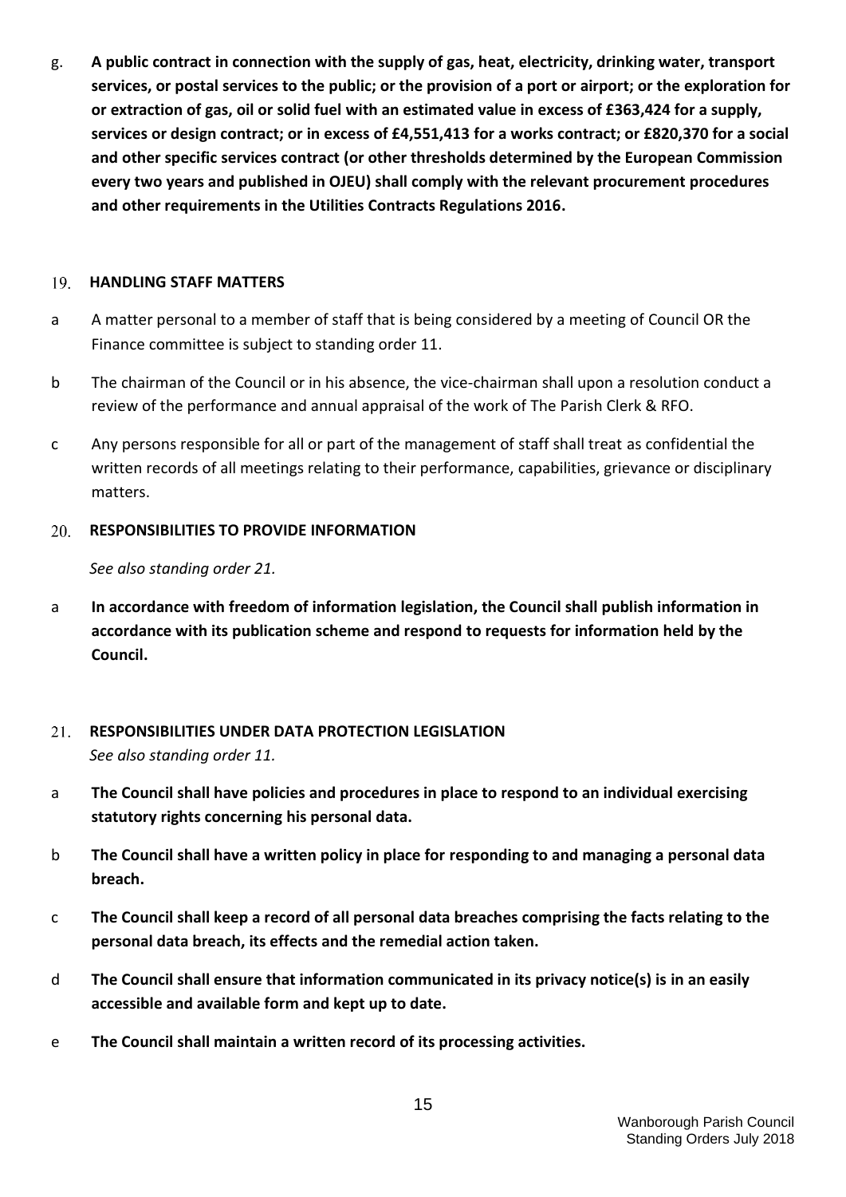g. **A public contract in connection with the supply of gas, heat, electricity, drinking water, transport services, or postal services to the public; or the provision of a port or airport; or the exploration for or extraction of gas, oil or solid fuel with an estimated value in excess of £363,424 for a supply, services or design contract; or in excess of £4,551,413 for a works contract; or £820,370 for a social and other specific services contract (or other thresholds determined by the European Commission every two years and published in OJEU) shall comply with the relevant procurement procedures and other requirements in the Utilities Contracts Regulations 2016.**

#### <span id="page-14-0"></span>19. **HANDLING STAFF MATTERS**

- a A matter personal to a member of staff that is being considered by a meeting of Council OR the Finance committee is subject to standing order 11.
- b The chairman of the Council or in his absence, the vice-chairman shall upon a resolution conduct a review of the performance and annual appraisal of the work of The Parish Clerk & RFO.
- c Any persons responsible for all or part of the management of staff shall treat as confidential the written records of all meetings relating to their performance, capabilities, grievance or disciplinary matters.

#### <span id="page-14-1"></span>20. **RESPONSIBILITIES TO PROVIDE INFORMATION**

*See also standing order 21.*

a **In accordance with freedom of information legislation, the Council shall publish information in accordance with its publication scheme and respond to requests for information held by the Council.**

# <span id="page-14-2"></span>21. **RESPONSIBILITIES UNDER DATA PROTECTION LEGISLATION**  *See also standing order 11.*

- a **The Council shall have policies and procedures in place to respond to an individual exercising statutory rights concerning his personal data.**
- b **The Council shall have a written policy in place for responding to and managing a personal data breach.**
- c **The Council shall keep a record of all personal data breaches comprising the facts relating to the personal data breach, its effects and the remedial action taken.**
- d **The Council shall ensure that information communicated in its privacy notice(s) is in an easily accessible and available form and kept up to date.**
- e **The Council shall maintain a written record of its processing activities.**